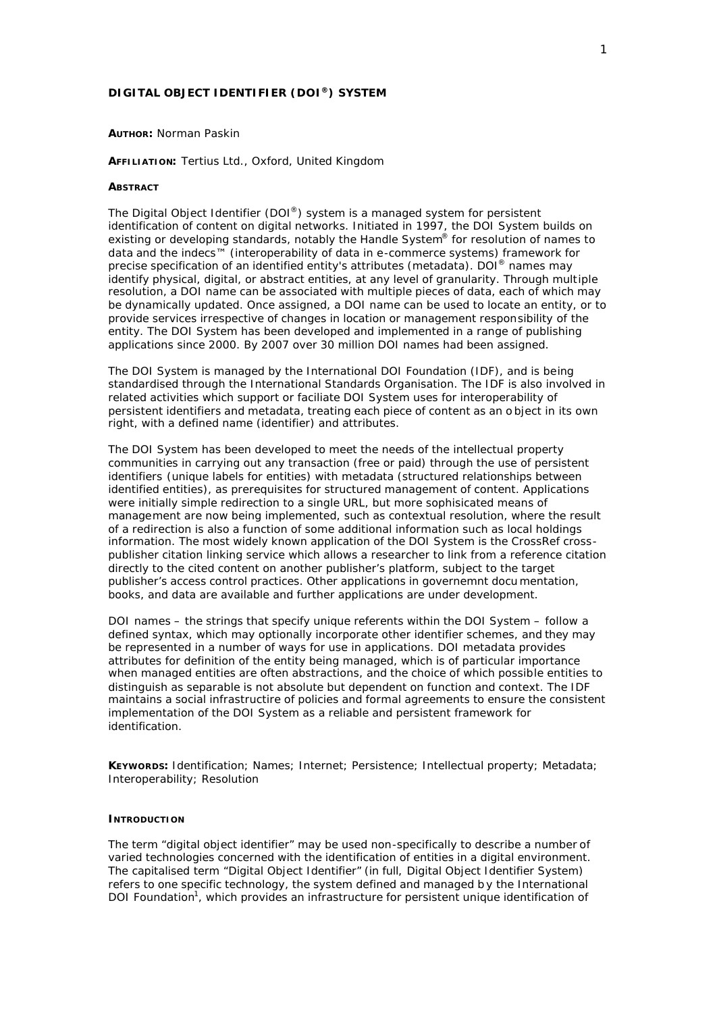# **DIGITAL OBJECT IDENTIFIER (DOI®) SYSTEM**

#### **AUTHOR:** Norman Paskin

### **AFFILIATION:** Tertius Ltd., Oxford, United Kingdom

#### **ABSTRACT**

The Digital Object Identifier (DOI®) system is a managed system for persistent identification of content on digital networks. Initiated in 1997, the DOI System builds on existing or developing standards, notably the Handle System<sup>®</sup> for resolution of names to data and the indecs™ (interoperability of data in e-commerce systems) framework for precise specification of an identified entity's attributes (metadata). DOI® names may identify physical, digital, or abstract entities, at any level of granularity. Through multiple resolution, a DOI name can be associated with multiple pieces of data, each of which may be dynamically updated. Once assigned, a DOI name can be used to locate an entity, or to provide services irrespective of changes in location or management responsibility of the entity. The DOI System has been developed and implemented in a range of publishing applications since 2000. By 2007 over 30 million DOI names had been assigned.

The DOI System is managed by the International DOI Foundation (IDF), and is being standardised through the International Standards Organisation. The IDF is also involved in related activities which support or faciliate DOI System uses for interoperability of persistent identifiers and metadata, treating each piece of content as an o bject in its own right, with a defined name (identifier) and attributes.

The DOI System has been developed to meet the needs of the intellectual property communities in carrying out any transaction (free or paid) through the use of persistent identifiers (unique labels for entities) with metadata (structured relationships between identified entities), as prerequisites for structured management of content. Applications were initially simple redirection to a single URL, but more sophisicated means of management are now being implemented, such as contextual resolution, where the result of a redirection is also a function of some additional information such as local holdings information. The most widely known application of the DOI System is the CrossRef crosspublisher citation linking service which allows a researcher to link from a reference citation directly to the cited content on another publisher's platform, subject to the target publisher's access control practices. Other applications in governemnt docu mentation, books, and data are available and further applications are under development.

DOI names – the strings that specify unique referents within the DOI System – follow a defined syntax, which may optionally incorporate other identifier schemes, and they may be represented in a number of ways for use in applications. DOI metadata provides attributes for definition of the entity being managed, which is of particular importance when managed entities are often abstractions, and the choice of which possible entities to distinguish as separable is not absolute but dependent on function and context. The IDF maintains a social infrastructire of policies and formal agreements to ensure the consistent implementation of the DOI System as a reliable and persistent framework for identification.

**KEYWORDS:** Identification; Names; Internet; Persistence; Intellectual property; Metadata; Interoperability; Resolution

### **INTRODUCTION**

The term "digital object identifier" may be used non-specifically to describe a number of varied technologies concerned with the identification of entities in a digital environment. The capitalised term "Digital Object Identifier" (in full, Digital Object Identifier System) refers to one specific technology, the system defined and managed b y the International DOI Foundation<sup>1</sup>, which provides an infrastructure for persistent unique identification of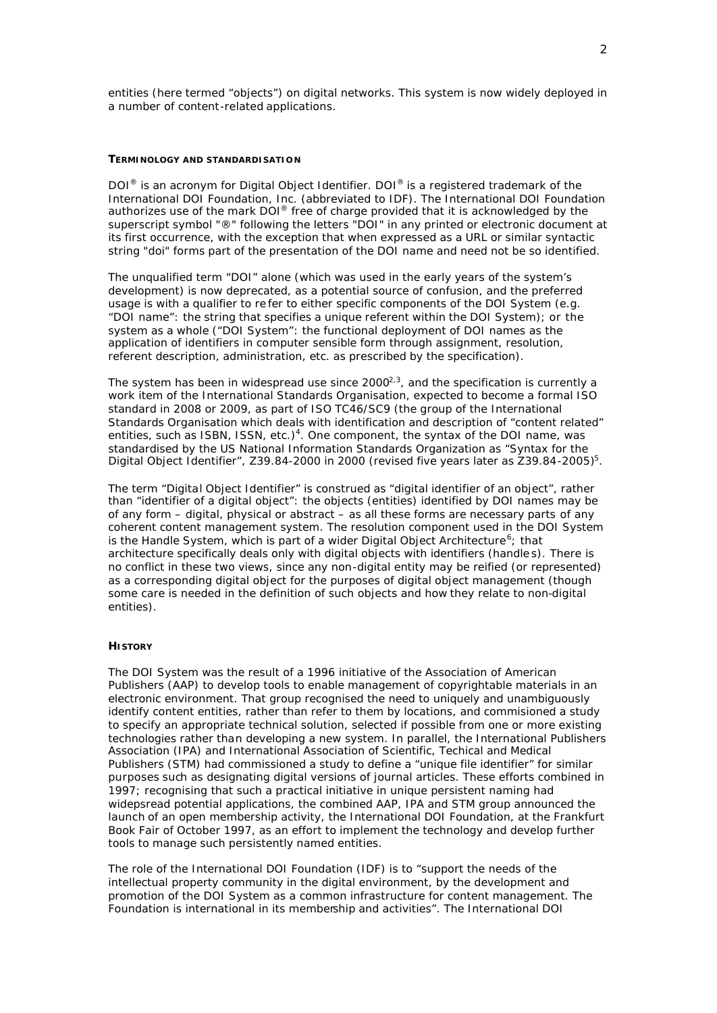entities (here termed "objects") on digital networks. This system is now widely deployed in a number of content-related applications.

### **TERMINOLOGY AND STANDARDISATIO N**

DOI<sup>®</sup> is an acronym for Digital Object Identifier. DOI<sup>®</sup> is a registered trademark of the International DOI Foundation, Inc. (abbreviated to IDF). The International DOI Foundation authorizes use of the mark DOI® free of charge provided that it is acknowledged by the superscript symbol "®" following the letters "DOI" in any printed or electronic document at its first occurrence, with the exception that when expressed as a URL or similar syntactic string "doi" forms part of the presentation of the DOI name and need not be so identified.

The unqualified term "DOI" alone (which was used in the early years of the system's development) is now deprecated, as a potential source of confusion, and the preferred usage is with a qualifier to re fer to either specific components of the DOI System (e.g. "DOI name": the string that specifies a unique referent within the DOI System); or the system as a whole ("DOI System": the functional deployment of DOI names as the application of identifiers in computer sensible form through assignment, resolution, referent description, administration, etc. as prescribed by the specification).

The system has been in widespread use since 2000 $^{2,3}$ , and the specification is currently a work item of the International Standards Organisation, expected to become a formal ISO standard in 2008 or 2009, as part of ISO TC46/SC9 (the group of the International Standards Organisation which deals with identification and description of "content related" entities, such as ISBN, ISSN, etc.)<sup>4</sup>. One component, the syntax of the DOI name, was standardised by the US National Information Standards Organization as "Syntax for the Digital Object Identifier", Z39.84-2000 in 2000 (revised five years later as Z39.84-2005)<sup>5</sup>.

The term "Digital Object Identifier" is construed as "digital identifier of an object", rather than "identifier of a digital object": the objects (entities) identified by DOI names may be of any form – digital, physical or abstract – as all these forms are necessary parts of any coherent content management system. The resolution component used in the DOI System is the Handle System, which is part of a wider Digital Object Architecture<sup>6</sup>; that architecture specifically deals only with digital objects with identifiers (handle s). There is no conflict in these two views, since any non-digital entity may be reified (or represented) as a corresponding digital object for the purposes of digital object management (though some care is needed in the definition of such objects and how they relate to non-digital entities).

## **HISTORY**

The DOI System was the result of a 1996 initiative of the Association of American Publishers (AAP) to develop tools to enable management of copyrightable materials in an electronic environment. That group recognised the need to uniquely and unambiguously identify content entities, rather than refer to them by locations, and commisioned a study to specify an appropriate technical solution, selected if possible from one or more existing technologies rather than developing a new system. In parallel, the International Publishers Association (IPA) and International Association of Scientific, Techical and Medical Publishers (STM) had commissioned a study to define a "unique file identifier" for similar purposes such as designating digital versions of journal articles. These efforts combined in 1997; recognising that such a practical initiative in unique persistent naming had widepsread potential applications, the combined AAP, IPA and STM group announced the launch of an open membership activity, the International DOI Foundation, at the Frankfurt Book Fair of October 1997, as an effort to implement the technology and develop further tools to manage such persistently named entities.

The role of the International DOI Foundation (IDF) is to "support the needs of the intellectual property community in the digital environment, by the development and promotion of the DOI System as a common infrastructure for content management. The Foundation is international in its membership and activities". The International DOI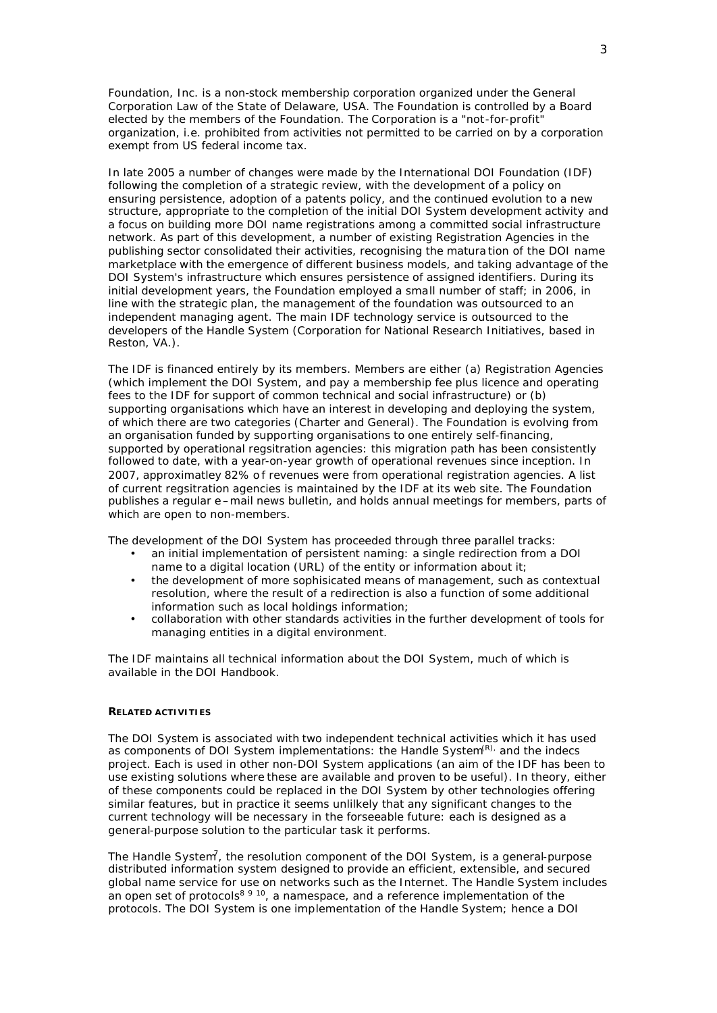Foundation, Inc. is a non-stock membership corporation organized under the General Corporation Law of the State of Delaware, USA. The Foundation is controlled by a Board elected by the members of the Foundation. The Corporation is a "not-for-profit" organization, i.e. prohibited from activities not permitted to be carried on by a corporation exempt from US federal income tax.

In late 2005 a number of changes were made by the International DOI Foundation (IDF) following the completion of a strategic review, with the development of a policy on ensuring persistence, adoption of a patents policy, and the continued evolution to a new structure, appropriate to the completion of the initial DOI System development activity and a focus on building more DOI name registrations among a committed social infrastructure network. As part of this development, a number of existing Registration Agencies in the publishing sector consolidated their activities, recognising the matura tion of the DOI name marketplace with the emergence of different business models, and taking advantage of the DOI System's infrastructure which ensures persistence of assigned identifiers. During its initial development years, the Foundation employed a small number of staff; in 2006, in line with the strategic plan, the management of the foundation was outsourced to an independent managing agent. The main IDF technology service is outsourced to the developers of the Handle System (Corporation for National Research Initiatives, based in Reston, VA.).

The IDF is financed entirely by its members. Members are either (a) Registration Agencies (which implement the DOI System, and pay a membership fee plus licence and operating fees to the IDF for support of common technical and social infrastructure) or (b) supporting organisations which have an interest in developing and deploying the system, of which there are two categories (Charter and General). The Foundation is evolving from an organisation funded by supporting organisations to one entirely self-financing, supported by operational regsitration agencies: this migration path has been consistently followed to date, with a year-on-year growth of operational revenues since inception. In 2007, approximatley 82% o f revenues were from operational registration agencies. A list of current regsitration agencies is maintained by the IDF at its web site. The Foundation publishes a regular e –mail news bulletin, and holds annual meetings for members, parts of which are open to non-members.

The development of the DOI System has proceeded through three parallel tracks:

- an initial implementation of persistent naming: a single redirection from a DOI name to a digital location (URL) of the entity or information about it;
- the development of more sophisicated means of management, such as contextual resolution, where the result of a redirection is also a function of some additional information such as local holdings information;
- collaboration with other standards activities in the further development of tools for managing entities in a digital environment.

The IDF maintains all technical information about the DOI System, much of which is available in the DOI Handbook.

#### **RELATED ACTIVITIES**

The DOI System is associated with two independent technical activities which it has used as components of DOI System implementations: the Handle System<sup>(R),</sup> and the indecs project. Each is used in other non-DOI System applications (an aim of the IDF has been to use existing solutions where these are available and proven to be useful). In theory, either of these components could be replaced in the DOI System by other technologies offering similar features, but in practice it seems unlilkely that any significant changes to the current technology will be necessary in the forseeable future: each is designed as a general-purpose solution to the particular task it performs.

The Handle System<sup>7</sup>, the resolution component of the DOI System, is a general-purpose distributed information system designed to provide an efficient, extensible, and secured global name service for use on networks such as the Internet. The Handle System includes an open set of protocols<sup>8 9 10</sup>, a namespace, and a reference implementation of the protocols. The DOI System is one implementation of the Handle System; hence a DOI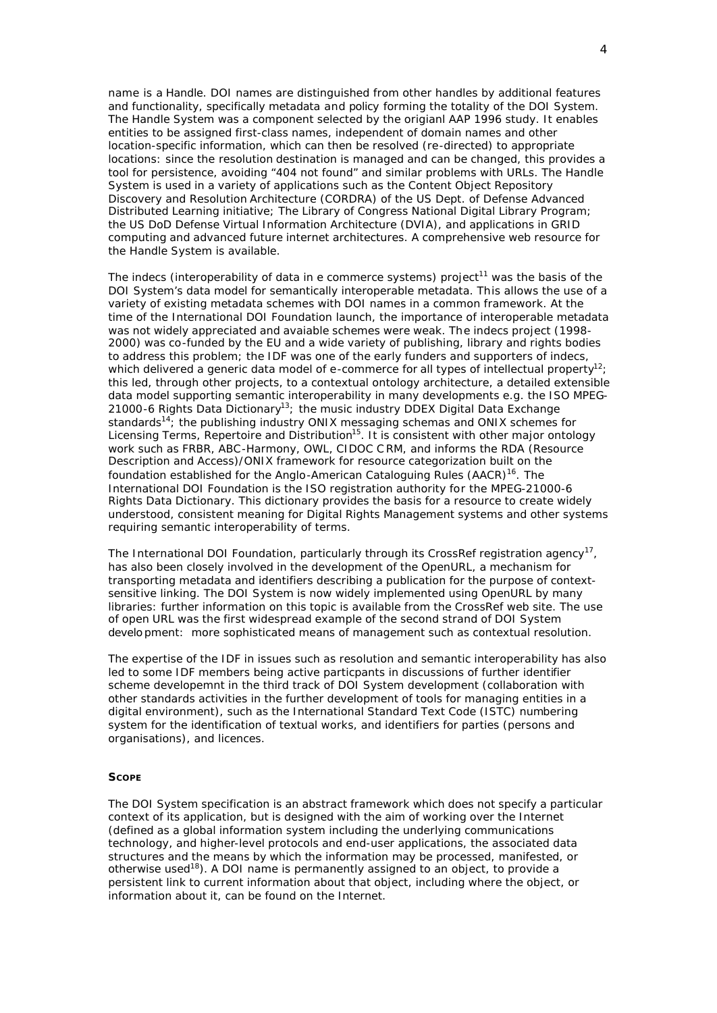name is a *Handle*. DOI names are distinguished from other handles by additional features and functionality, specifically *metadata* and *policy* forming the totality of the DOI System. The Handle System was a component selected by the origianl AAP 1996 study. It enables entities to be assigned first-class names, independent of domain names and other location-specific information, which can then be resolved (re-directed) to appropriate locations: since the resolution destination is managed and can be changed, this provides a tool for persistence, avoiding "404 not found" and similar problems with URLs. The Handle System is used in a variety of applications such as the Content Object Repository Discovery and Resolution Architecture (CORDRA) of the US Dept. of Defense Advanced Distributed Learning initiative; The Library of Congress National Digital Library Program; the US DoD Defense Virtual Information Architecture (DVIA), and applications in GRID computing and advanced future internet architectures. A comprehensive web resource for the Handle System is available.

The indecs (interoperability of data in e commerce systems) project<sup>11</sup> was the basis of the DOI System's data model for semantically interoperable metadata. This allows the use of a variety of existing metadata schemes with DOI names in a common framework. At the time of the International DOI Foundation launch, the importance of interoperable metadata was not widely appreciated and avaiable schemes were weak. The indecs project (1998- 2000) was co-funded by the EU and a wide variety of publishing, library and rights bodies to address this problem; the IDF was one of the early funders and supporters of indecs, which delivered a generic data model of e-commerce for all types of intellectual property<sup>12</sup>; this led, through other projects, to a contextual ontology architecture, a detailed extensible data model supporting semantic interoperability in many developments e.g. the ISO MPEG-21000-6 Rights Data Dictionary<sup>13</sup>; the music industry DDEX Digital Data Exchange standards<sup>14</sup>; the publishing industry ONIX messaging schemas and ONIX schemes for Licensing Terms, Repertoire and Distribution<sup>15</sup>. It is consistent with other major ontology work such as FRBR, ABC-Harmony, OWL, CIDOC CRM, and informs the RDA (Resource Description and Access)/ONIX framework for resource categorization built on the foundation established for the Anglo-American Cataloguing Rules  $(AACR)^{16}$ . The International DOI Foundation is the ISO registration authority for the MPEG-21000-6 Rights Data Dictionary. This dictionary provides the basis for a resource to create widely understood, consistent meaning for Digital Rights Management systems and other systems requiring semantic interoperability of terms.

The International DOI Foundation, particularly through its CrossRef registration agency<sup>17</sup>, has also been closely involved in the development of the OpenURL, a mechanism for transporting metadata and identifiers describing a publication for the purpose of contextsensitive linking. The DOI System is now widely implemented using OpenURL by many libraries: further information on this topic is available from the CrossRef web site. The use of open URL was the first widespread example of the second strand of DOI System development: more sophisticated means of management such as contextual resolution.

The expertise of the IDF in issues such as resolution and semantic interoperability has also led to some IDF members being active particpants in discussions of further identifier scheme developemnt in the third track of DOI System development (collaboration with other standards activities in the further development of tools for managing entities in a digital environment), such as the International Standard Text Code (ISTC) numbering system for the identification of textual works, and identifiers for parties (persons and organisations), and licences.

### **SCOPE**

The DOI System specification is an abstract framework which does not specify a particular context of its application, but is designed with the aim of working over the Internet (defined as a global information system including the underlying communications technology, and higher-level protocols and end-user applications, the associated data structures and the means by which the information may be processed, manifested, or otherwise used<sup>18</sup>). A DOI name is permanently assigned to an object, to provide a persistent link to current information about that object, including where the object, or information about it, can be found on the Internet.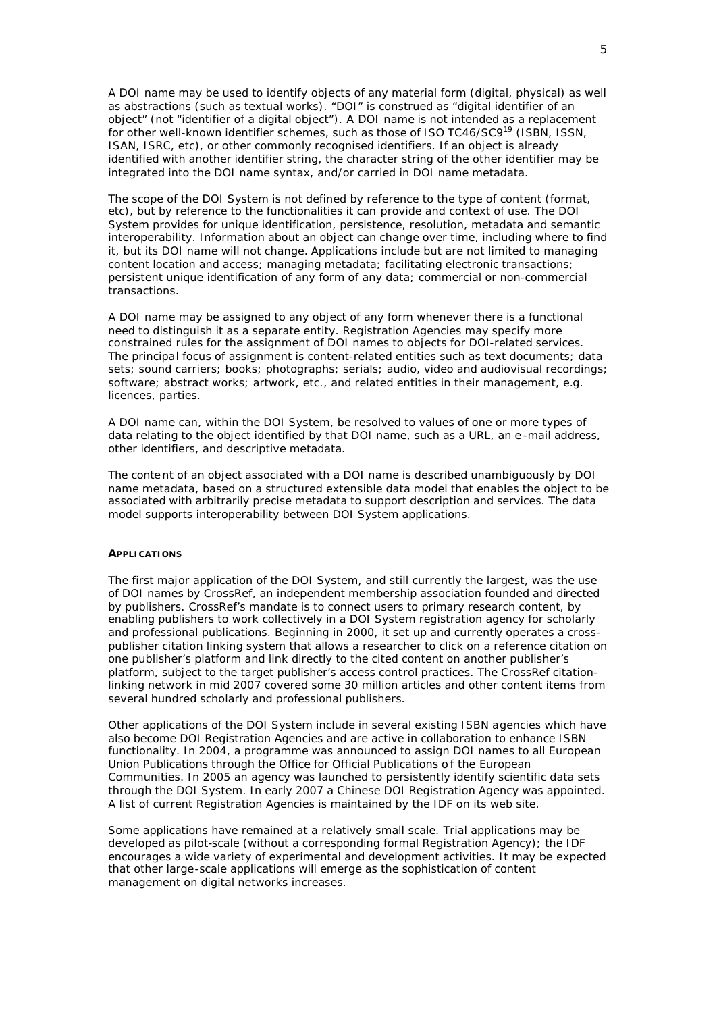A DOI name may be used to identify objects of any material form (digital, physical) as well as abstractions (such as textual works). "DOI" is construed as "digital identifier of an object" (not "identifier of a digital object"). A DOI name is not intended as a replacement for other well-known identifier schemes, such as those of ISO TC46/SC9<sup>19</sup> (ISBN, ISSN, ISAN, ISRC, etc), or other commonly recognised identifiers. If an object is already identified with another identifier string, the character string of the other identifier may be integrated into the DOI name syntax, and/or carried in DOI name metadata.

The scope of the DOI System is not defined by reference to the type of content (format, etc), but by reference to the functionalities it can provide and context of use. The DOI System provides for unique identification, persistence, resolution, metadata and semantic interoperability. Information about an object can change over time, including where to find it, but its DOI name will not change. Applications include but are not limited to managing content location and access; managing metadata; facilitating electronic transactions; persistent unique identification of any form of any data; commercial or non-commercial transactions.

A DOI name may be assigned to any object of any form whenever there is a functional need to distinguish it as a separate entity. Registration Agencies may specify more constrained rules for the assignment of DOI names to objects for DOI-related services. The principal focus of assignment is content-related entities such as text documents; data sets; sound carriers; books; photographs; serials; audio, video and audiovisual recordings; software; abstract works; artwork, etc., and related entities in their management, e.g. licences, parties.

A DOI name can, within the DOI System, be resolved to values of one or more types of data relating to the object identified by that DOI name, such as a URL, an e -mail address, other identifiers, and descriptive metadata.

The content of an object associated with a DOI name is described unambiguously by DOI name metadata, based on a structured extensible data model that enables the object to be associated with arbitrarily precise metadata to support description and services. The data model supports interoperability between DOI System applications.

## **APPLICATIONS**

The first major application of the DOI System, and still currently the largest, was the use of DOI names by CrossRef, an independent membership association founded and directed by publishers. CrossRef's mandate is to connect users to primary research content, by enabling publishers to work collectively in a DOI System registration agency for scholarly and professional publications. Beginning in 2000, it set up and currently operates a crosspublisher citation linking system that allows a researcher to click on a reference citation on one publisher's platform and link directly to the cited content on another publisher's platform, subject to the target publisher's access control practices. The CrossRef citationlinking network in mid 2007 covered some 30 million articles and other content items from several hundred scholarly and professional publishers.

Other applications of the DOI System include in several existing ISBN agencies which have also become DOI Registration Agencies and are active in collaboration to enhance ISBN functionality. In 2004, a programme was announced to assign DOI names to all European Union Publications through the Office for Official Publications of the European Communities. In 2005 an agency was launched to persistently identify scientific data sets through the DOI System. In early 2007 a Chinese DOI Registration Agency was appointed. A list of current Registration Agencies is maintained by the IDF on its web site.

Some applications have remained at a relatively small scale. Trial applications may be developed as pilot-scale (without a corresponding formal Registration Agency); the IDF encourages a wide variety of experimental and development activities. It may be expected that other large-scale applications will emerge as the sophistication of content management on digital networks increases.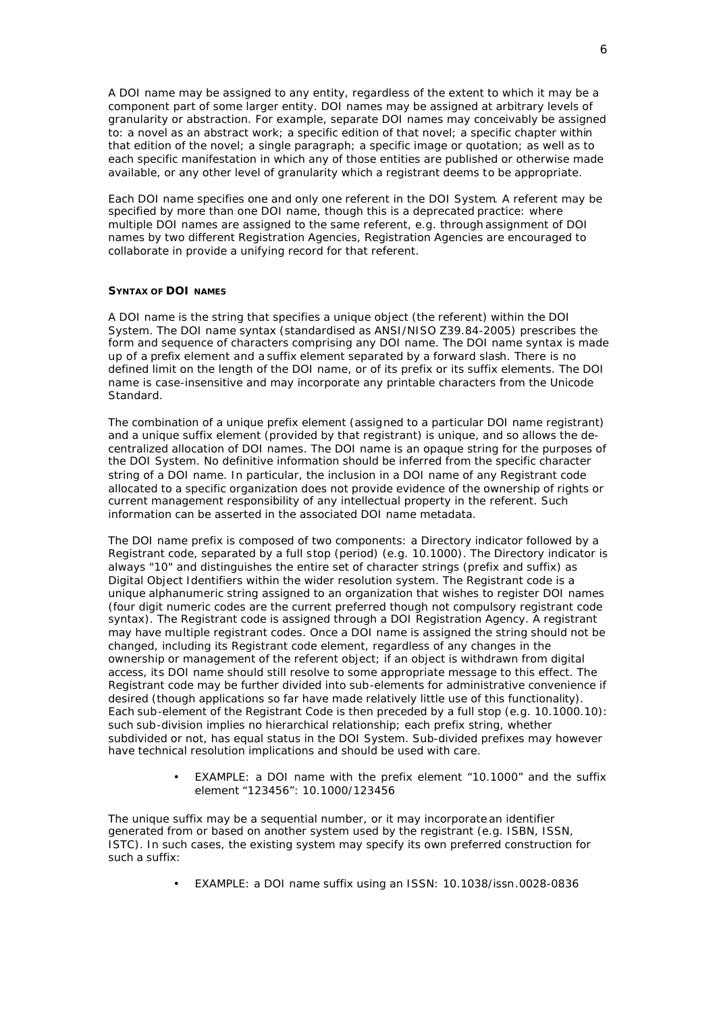A DOI name may be assigned to any entity, regardless of the extent to which it may be a component part of some larger entity. DOI names may be assigned at arbitrary levels of granularity or abstraction. For example, separate DOI names may conceivably be assigned to: a novel as an abstract work; a specific edition of that novel; a specific chapter within that edition of the novel; a single paragraph; a specific image or quotation; as well as to each specific manifestation in which any of those entities are published or otherwise made available, or any other level of granularity which a registrant deems to be appropriate.

Each DOI name specifies one and only one referent in the DOI System. A referent may be specified by more than one DOI name, though this is a deprecated practice: where multiple DOI names are assigned to the same referent, e.g. through assignment of DOI names by two different Registration Agencies, Registration Agencies are encouraged to collaborate in provide a unifying record for that referent.

### **SYNTAX OF DOI NAMES**

A DOI name is the string that specifies a unique object (the referent) within the DOI System. The DOI name syntax (standardised as ANSI/NISO Z39.84-2005) prescribes the form and sequence of characters comprising any DOI name. The DOI name syntax is made up of a *prefix* element and a *suffix* element separated by a forward slash. There is no defined limit on the length of the DOI name, or of its prefix or its suffix elements. The DOI name is case-insensitive and may incorporate any printable characters from the Unicode Standard.

The combination of a unique prefix element (assigned to a particular DOI name registrant) and a unique suffix element (provided by that registrant) is unique, and so allows the decentralized allocation of DOI names. The DOI name is an opaque string for the purposes of the DOI System. No definitive information should be inferred from the specific character string of a DOI name. In particular, the inclusion in a DOI name of any Registrant code allocated to a specific organization does not provide evidence of the ownership of rights or current management responsibility of any intellectual property in the referent. Such information can be asserted in the associated DOI name metadata.

The DOI name prefix is composed of two components: a Directory indicator followed by a Registrant code, separated by a full stop (period) (e.g. 10.1000). The Directory indicator is always "10" and distinguishes the entire set of character strings (prefix and suffix) as Digital Object Identifiers within the wider resolution system. The Registrant code is a unique alphanumeric string assigned to an organization that wishes to register DOI names (four digit numeric codes are the current preferred though not compulsory registrant code syntax). The Registrant code is assigned through a DOI Registration Agency. A registrant may have multiple registrant codes. Once a DOI name is assigned the string should not be changed, including its Registrant code element, regardless of any changes in the ownership or management of the referent object; if an object is withdrawn from digital access, its DOI name should still resolve to some appropriate message to this effect. The Registrant code may be further divided into sub-elements for administrative convenience if desired (though applications so far have made relatively little use of this functionality). Each sub-element of the Registrant Code is then preceded by a full stop (e.g. 10.1000.10): such sub-division implies no hierarchical relationship; each prefix string, whether subdivided or not, has equal status in the DOI System. Sub-divided prefixes may however have technical resolution implications and should be used with care.

> • EXAMPLE: a DOI name with the prefix element "10.1000" and the suffix element "123456": 10.1000/123456

The unique suffix may be a sequential number, or it may incorporate an identifier generated from or based on another system used by the registrant (e.g. ISBN, ISSN, ISTC). In such cases, the existing system may specify its own preferred construction for such a suffix:

• EXAMPLE: a DOI name suffix using an ISSN: 10.1038/issn.0028-0836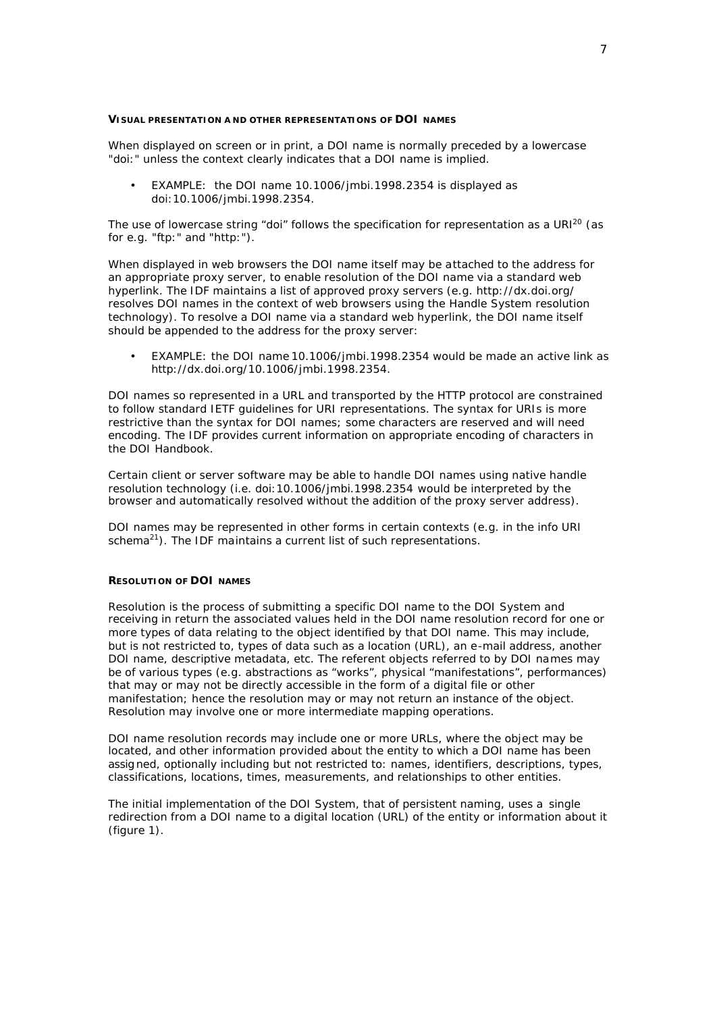### **VISUAL PRESENTATION A ND OTHER REPRESENTATIONS OF DOI NAMES**

When displayed on screen or in print, a DOI name is normally preceded by a lowercase "doi:" unless the context clearly indicates that a DOI name is implied.

• EXAMPLE: the DOI name 10.1006/jmbi.1998.2354 is displayed as doi:10.1006/jmbi.1998.2354.

The use of lowercase string "doi" follows the specification for representation as a URI<sup>20</sup> (as for e.g. "ftp:" and "http:").

When displayed in web browsers the DOI name itself may be attached to the address for an appropriate proxy server, to enable resolution of the DOI name via a standard web hyperlink. The IDF maintains a list of approved proxy servers (e.g. http://dx.doi.org/ resolves DOI names in the context of web browsers using the Handle System resolution technology). To resolve a DOI name via a standard web hyperlink, the DOI name itself should be appended to the address for the proxy server:

• EXAMPLE: the DOI name *10.1006/jmbi.1998.2354* would be made an active link as *http://dx.doi.org/10.1006/jmbi.1998.2354*.

DOI names so represented in a URL and transported by the HTTP protocol are constrained to follow standard IETF guidelines for URI representations. The syntax for URIs is more restrictive than the syntax for DOI names; some characters are reserved and will need encoding. The IDF provides current information on appropriate encoding of characters in the DOI Handbook.

Certain client or server software may be able to handle DOI names using native handle resolution technology (i.e. *doi:10.1006/jmbi.1998.2354* would be interpreted by the browser and automatically resolved without the addition of the proxy server address).

DOI names may be represented in other forms in certain contexts (e.g. in the info URI schema<sup>21</sup>). The IDF maintains a current list of such representations.

#### **RESOLUTION OF DOI NAMES**

Resolution is the process of submitting a specific DOI name to the DOI System and receiving in return the associated values held in the DOI name resolution record for one or more types of data relating to the object identified by that DOI name. This may include, but is not restricted to, types of data such as a location (URL), an e-mail address, another DOI name, descriptive metadata, etc. The referent objects referred to by DOI names may be of various types (e.g. abstractions as "works", physical "manifestations", performances) that may or may not be directly accessible in the form of a digital file or other manifestation; hence the resolution may or may not return an instance of the object. Resolution may involve one or more intermediate mapping operations.

DOI name resolution records may include one or more URLs, where the object may be located, and other information provided about the entity to which a DOI name has been assigned, optionally including but not restricted to: names, identifiers, descriptions, types, classifications, locations, times, measurements, and relationships to other entities.

The initial implementation of the DOI System, that of persistent naming, uses a single redirection from a DOI name to a digital location (URL) of the entity or information about it (figure 1).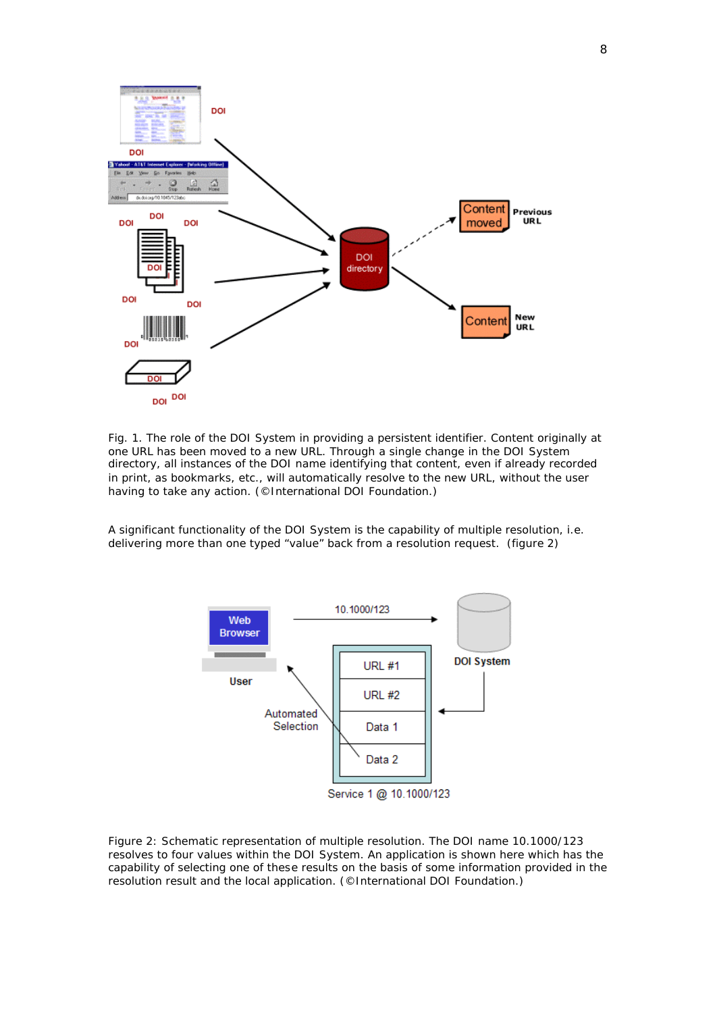

*Fig. 1. The role of the DOI System in providing a persistent identifier. Content originally at one URL has been moved to a new URL. Through a single change in the DOI System directory, all instances of the DOI name identifying that content, even if already recorded in print, as bookmarks, etc., will automatically resolve to the new URL, without the user having to take any action. (©International DOI Foundation.)*

A significant functionality of the DOI System is the capability of multiple resolution, i.e. delivering more than one typed "value" back from a resolution request. (figure 2)



*Figure 2: Schematic representation of multiple resolution. The DOI name 10.1000/123 resolves to four values within the DOI System. An application is shown here which has the capability of selecting one of these results on the basis of some information provided in the resolution result and the local application. (©International DOI Foundation.)*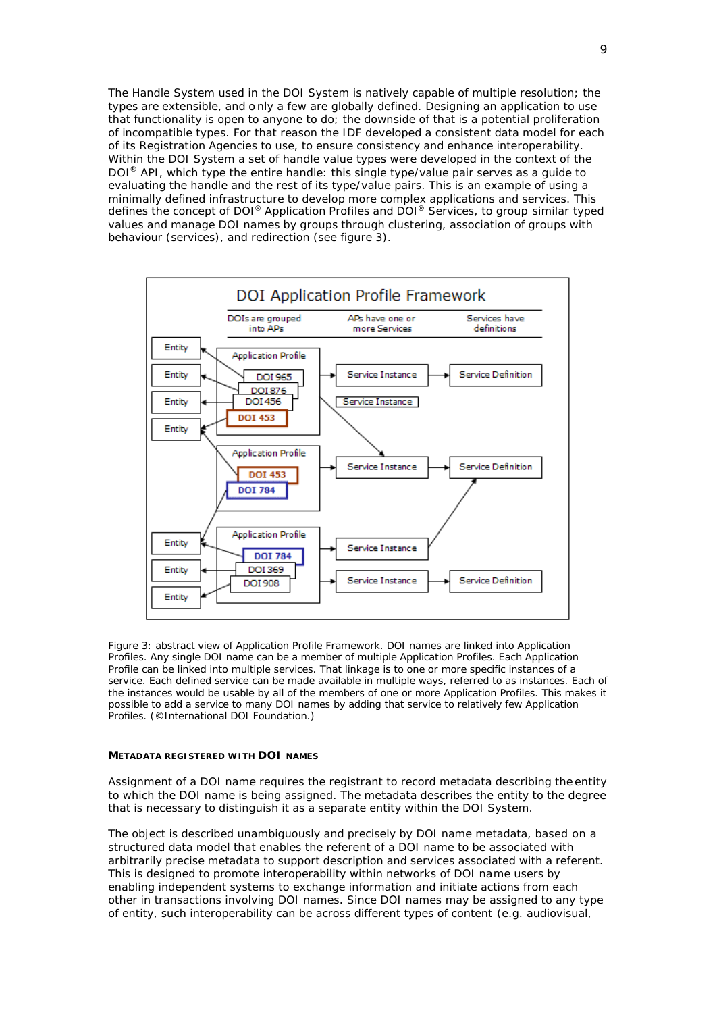The Handle System used in the DOI System is natively capable of multiple resolution; the types are extensible, and o nly a few are globally defined. Designing an application to use that functionality is open to anyone to do; the downside of that is a potential proliferation of incompatible types. For that reason the IDF developed a consistent data model for each of its Registration Agencies to use, to ensure consistency and enhance interoperability. Within the DOI System a set of handle value types were developed in the context of the DOI<sup>®</sup> API, which type the entire handle: this single type/value pair serves as a guide to evaluating the handle and the rest of its type/value pairs. This is an example of using a minimally defined infrastructure to develop more complex applications and services. This defines the concept of DOI® Application Profiles and DOI® Services, to group similar typed values and manage DOI names by groups through clustering, association of groups with behaviour (services), and redirection (see figure 3).



*Figure 3: abstract view of Application Profile Framework. DOI names are linked into Application Profiles. Any single DOI name can be a member of multiple Application Profiles. Each Application Profile can be linked into multiple services. That linkage is to one or more specific instances of a service. Each defined service can be made available in multiple ways, referred to as instances. Each of the instances would be usable by all of the members of one or more Application Profiles. This makes it possible to add a service to many DOI names by adding that service to relatively few Application Profiles. (©International DOI Foundation.)*

### **METADATA REGISTERED WITH DOI NAMES**

Assignment of a DOI name requires the registrant to record metadata describing the entity to which the DOI name is being assigned. The metadata describes the entity to the degree that is necessary to distinguish it as a separate entity within the DOI System.

The object is described unambiguously and precisely by DOI name metadata, based on a structured data model that enables the referent of a DOI name to be associated with arbitrarily precise metadata to support description and services associated with a referent. This is designed to promote interoperability within networks of DOI name users by enabling independent systems to exchange information and initiate actions from each other in transactions involving DOI names. Since DOI names may be assigned to any type of entity, such interoperability can be across different types of content (e.g. audiovisual,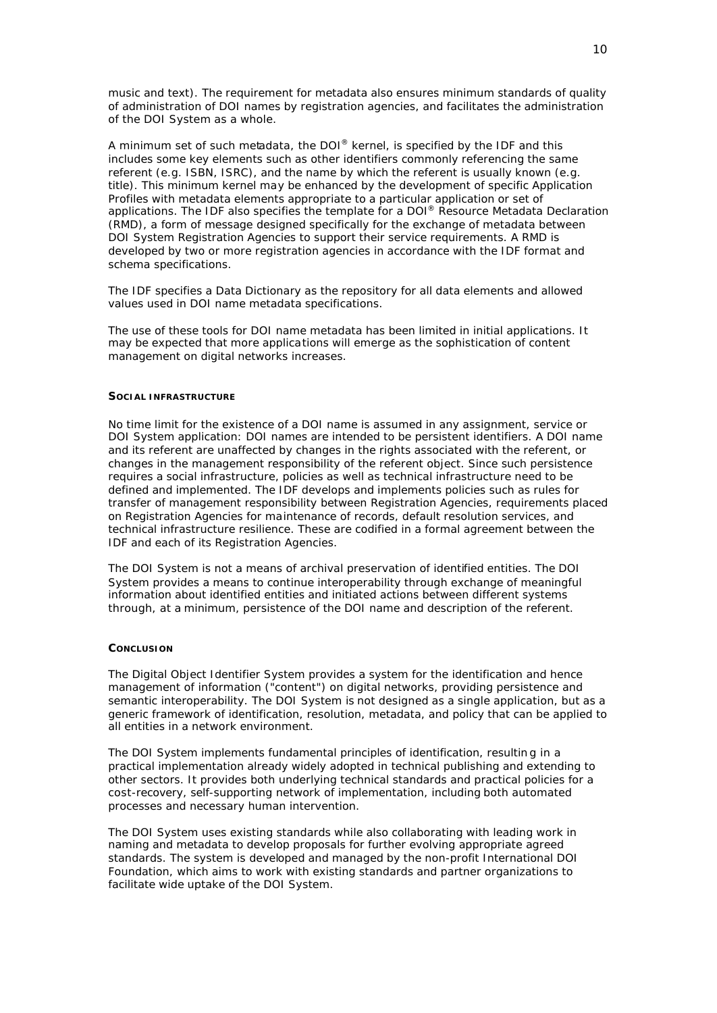music and text). The requirement for metadata also ensures minimum standards of quality of administration of DOI names by registration agencies, and facilitates the administration of the DOI System as a whole.

A minimum set of such metadata, the DOI® kernel, is specified by the IDF and this includes some key elements such as other identifiers commonly referencing the same referent (e.g. ISBN, ISRC), and the name by which the referent is usually known (e.g. title). This minimum kernel may be enhanced by the development of specific Application Profiles with metadata elements appropriate to a particular application or set of applications. The IDF also specifies the template for a DOI® Resource Metadata Declaration (RMD), a form of message designed specifically for the exchange of metadata between DOI System Registration Agencies to support their service requirements. A RMD is developed by two or more registration agencies in accordance with the IDF format and schema specifications.

The IDF specifies a Data Dictionary as the repository for all data elements and allowed values used in DOI name metadata specifications.

The use of these tools for DOI name metadata has been limited in initial applications. It may be expected that more applications will emerge as the sophistication of content management on digital networks increases.

### **SOCIAL INFRASTRUCTURE**

No time limit for the existence of a DOI name is assumed in any assignment, service or DOI System application: DOI names are intended to be persistent identifiers. A DOI name and its referent are unaffected by changes in the rights associated with the referent, or changes in the management responsibility of the referent object. Since such persistence requires a social infrastructure, policies as well as technical infrastructure need to be defined and implemented. The IDF develops and implements policies such as rules for transfer of management responsibility between Registration Agencies, requirements placed on Registration Agencies for maintenance of records, default resolution services, and technical infrastructure resilience. These are codified in a formal agreement between the IDF and each of its Registration Agencies.

The DOI System is not a means of archival preservation of identified entities. The DOI System provides a means to continue interoperability through exchange of meaningful information about identified entities and initiated actions between different systems through, at a minimum, persistence of the DOI name and description of the referent.

### **CONCLUSION**

The Digital Object Identifier System provides a system for the identification and hence management of information ("content") on digital networks, providing persistence and semantic interoperability. The DOI System is not designed as a single application, but as a generic framework of identification, resolution, metadata, and policy that can be applied to all entities in a network environment.

The DOI System implements fundamental principles of identification, resultin g in a practical implementation already widely adopted in technical publishing and extending to other sectors. It provides both underlying technical standards and practical policies for a cost-recovery, self-supporting network of implementation, including both automated processes and necessary human intervention.

The DOI System uses existing standards while also collaborating with leading work in naming and metadata to develop proposals for further evolving appropriate agreed standards. The system is developed and managed by the non-profit International DOI Foundation, which aims to work with existing standards and partner organizations to facilitate wide uptake of the DOI System.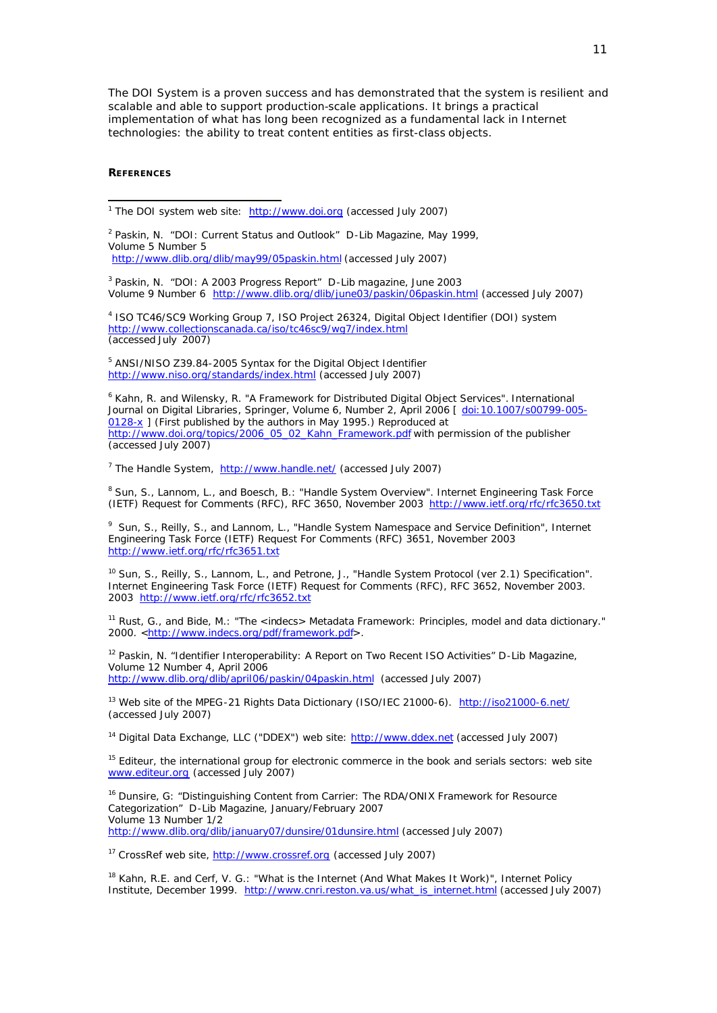The DOI System is a proven success and has demonstrated that the system is resilient and scalable and able to support production-scale applications. It brings a practical implementation of what has long been recognized as a fundamental lack in Internet technologies: the ability to treat content entities as first-class objects.

### **REFERENCES**

1

<sup>1</sup> The DOI system web site: http://www.doi.org (accessed July 2007)

<sup>2</sup> Paskin, N. "DOI: Current Status and Outlook" D-Lib Magazine, May 1999, Volume 5 Number 5 http://www.dlib.org/dlib/may99/05paskin.html (accessed July 2007)

<sup>3</sup> Paskin, N. "DOI: A 2003 Progress Report" D-Lib magazine, June 2003 Volume 9 Number 6 http://www.dlib.org/dlib/june03/paskin/06paskin.html (accessed July 2007)

4 ISO TC46/SC9 Working Group 7, ISO Project 26324, Digital Object Identifier (DOI) system http://www.collectionscanada.ca/iso/tc46sc9/wg7/index.html (accessed July 2007)

<sup>5</sup> ANSI/NISO Z39.84-2005 Syntax for the Digital Object Identifier http://www.niso.org/standards/index.html (accessed July 2007)

6 Kahn, R. and Wilensky, R. "A Framework for Distributed Digital Object Services". *International Journal on Digital Libraries*, Springer, Volume 6, Number 2, April 2006 [ doi:10.1007/s00799-005- 0128-x ] (First published by the authors in May 1995.) Reproduced at http://www.doi.org/topics/2006\_05\_02\_Kahn\_Framework.pdf with permission of the publisher (accessed July 2007)

<sup>7</sup> The Handle System, http://www.handle.net/ (accessed July 2007)

<sup>8</sup> Sun, S., Lannom, L., and Boesch, B.: "Handle System Overview". Internet Engineering Task Force (IETF) Request for Comments (RFC), RFC 3650, November 2003 http://www.ietf.org/rfc/rfc3650.txt

<sup>9</sup> Sun, S., Reilly, S., and Lannom, L., "Handle System Namespace and Service Definition", Internet Engineering Task Force (IETF) Request For Comments (RFC) 3651, November 2003 http://www.ietf.org/rfc/rfc3651.txt

<sup>10</sup> Sun, S., Reilly, S., Lannom, L., and Petrone, J., "Handle System Protocol (ver 2.1) Specification". Internet Engineering Task Force (IETF) Request for Comments (RFC), RFC 3652, November 2003. 2003 http://www.ietf.org/rfc/rfc3652.txt

<sup>11</sup> Rust, G., and Bide, M.: "The <in*d*ecs> Metadata Framework: Principles, model and data dictionary." 2000. <http://www.indecs.org/pdf/framework.pdf>.

<sup>12</sup> Paskin, N. "Identifier Interoperability: A Report on Two Recent ISO Activities" D-Lib Magazine, Volume 12 Number 4, April 2006 http://www.dlib.org/dlib/april06/paskin/04paskin.html (accessed July 2007)

<sup>13</sup> Web site of the MPEG-21 Rights Data Dictionary (ISO/IEC 21000-6). http://iso21000-6.net/ (accessed July 2007)

<sup>14</sup> Digital Data Exchange, LLC ("DDEX") web site: http://www.ddex.net (accessed July 2007)

<sup>15</sup> Editeur, the international group for electronic commerce in the book and serials sectors: web site www.editeur.org (accessed July 2007)

<sup>16</sup> Dunsire, G: "Distinguishing Content from Carrier: The RDA/ONIX Framework for Resource Categorization" D-Lib Magazine, January/February 2007 Volume 13 Number 1/2 http://www.dlib.org/dlib/january07/dunsire/01dunsire.html (accessed July 2007)

<sup>17</sup> CrossRef web site, http://www.crossref.org (accessed July 2007)

<sup>18</sup> Kahn, R.E. and Cerf, V. G.: "What is the Internet (And What Makes It Work)". Internet Policy Institute, December 1999. http://www.cnri.reston.va.us/what\_is\_internet.html (accessed July 2007)